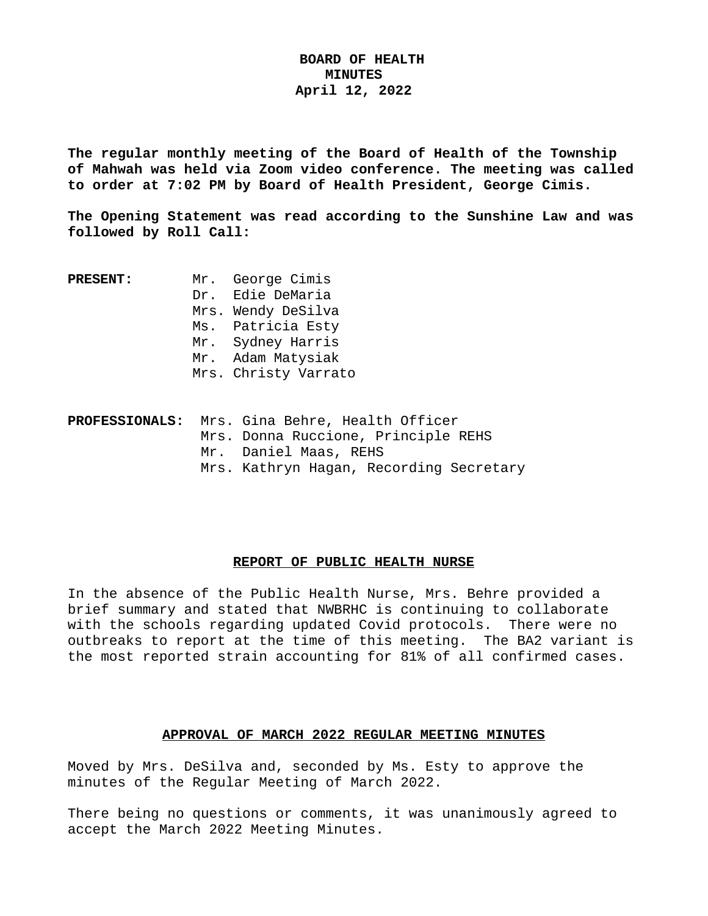## **BOARD OF HEALTH MINUTES April 12, 2022**

**The regular monthly meeting of the Board of Health of the Township of Mahwah was held via Zoom video conference. The meeting was called to order at 7:02 PM by Board of Health President, George Cimis.**

**The Opening Statement was read according to the Sunshine Law and was followed by Roll Call:**

| <b>PRESENT :</b> | Mr. George Cimis     |
|------------------|----------------------|
|                  | Dr. Edie DeMaria     |
|                  | Mrs. Wendy DeSilva   |
|                  | Ms. Patricia Esty    |
|                  | Mr. Sydney Harris    |
|                  | Mr. Adam Matysiak    |
|                  | Mrs. Christy Varrato |
|                  |                      |

|  |  | PROFESSIONALS: Mrs. Gina Behre, Health Officer |
|--|--|------------------------------------------------|
|  |  | Mrs. Donna Ruccione, Principle REHS            |
|  |  | Mr. Daniel Maas, REHS                          |
|  |  | Mrs. Kathryn Hagan, Recording Secretary        |

## **REPORT OF PUBLIC HEALTH NURSE**

In the absence of the Public Health Nurse, Mrs. Behre provided a brief summary and stated that NWBRHC is continuing to collaborate with the schools regarding updated Covid protocols. There were no outbreaks to report at the time of this meeting. The BA2 variant is the most reported strain accounting for 81% of all confirmed cases.

#### **APPROVAL OF MARCH 2022 REGULAR MEETING MINUTES**

Moved by Mrs. DeSilva and, seconded by Ms. Esty to approve the minutes of the Regular Meeting of March 2022.

There being no questions or comments, it was unanimously agreed to accept the March 2022 Meeting Minutes.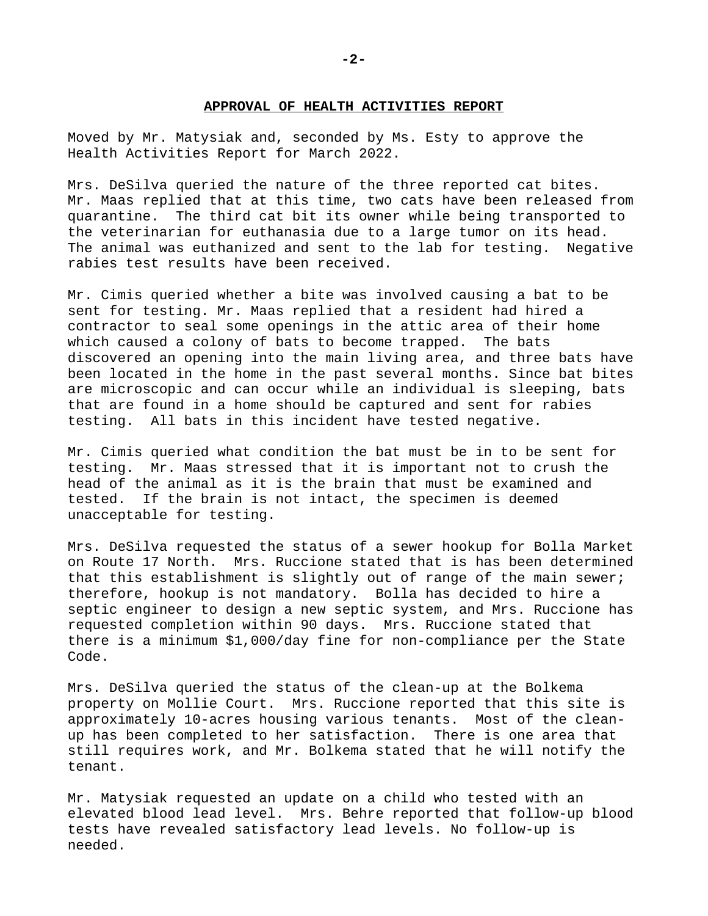#### **APPROVAL OF HEALTH ACTIVITIES REPORT**

Moved by Mr. Matysiak and, seconded by Ms. Esty to approve the Health Activities Report for March 2022.

Mrs. DeSilva queried the nature of the three reported cat bites. Mr. Maas replied that at this time, two cats have been released from quarantine. The third cat bit its owner while being transported to the veterinarian for euthanasia due to a large tumor on its head. The animal was euthanized and sent to the lab for testing. Negative rabies test results have been received.

Mr. Cimis queried whether a bite was involved causing a bat to be sent for testing. Mr. Maas replied that a resident had hired a contractor to seal some openings in the attic area of their home which caused a colony of bats to become trapped. The bats discovered an opening into the main living area, and three bats have been located in the home in the past several months. Since bat bites are microscopic and can occur while an individual is sleeping, bats that are found in a home should be captured and sent for rabies testing. All bats in this incident have tested negative.

Mr. Cimis queried what condition the bat must be in to be sent for testing. Mr. Maas stressed that it is important not to crush the head of the animal as it is the brain that must be examined and tested. If the brain is not intact, the specimen is deemed unacceptable for testing.

Mrs. DeSilva requested the status of a sewer hookup for Bolla Market on Route 17 North. Mrs. Ruccione stated that is has been determined that this establishment is slightly out of range of the main sewer; therefore, hookup is not mandatory. Bolla has decided to hire a septic engineer to design a new septic system, and Mrs. Ruccione has requested completion within 90 days. Mrs. Ruccione stated that there is a minimum \$1,000/day fine for non-compliance per the State Code.

Mrs. DeSilva queried the status of the clean-up at the Bolkema property on Mollie Court. Mrs. Ruccione reported that this site is approximately 10-acres housing various tenants. Most of the cleanup has been completed to her satisfaction. There is one area that still requires work, and Mr. Bolkema stated that he will notify the tenant.

Mr. Matysiak requested an update on a child who tested with an elevated blood lead level. Mrs. Behre reported that follow-up blood tests have revealed satisfactory lead levels. No follow-up is needed.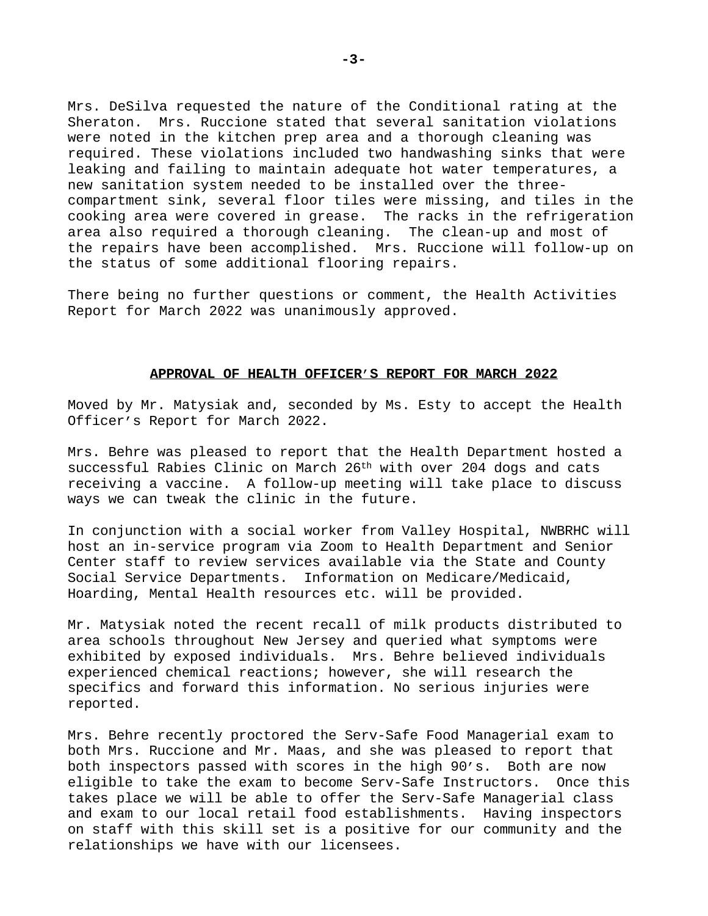Mrs. DeSilva requested the nature of the Conditional rating at the Sheraton. Mrs. Ruccione stated that several sanitation violations were noted in the kitchen prep area and a thorough cleaning was required. These violations included two handwashing sinks that were leaking and failing to maintain adequate hot water temperatures, a new sanitation system needed to be installed over the threecompartment sink, several floor tiles were missing, and tiles in the cooking area were covered in grease. The racks in the refrigeration area also required a thorough cleaning. The clean-up and most of the repairs have been accomplished. Mrs. Ruccione will follow-up on the status of some additional flooring repairs.

There being no further questions or comment, the Health Activities Report for March 2022 was unanimously approved.

## **APPROVAL OF HEALTH OFFICER'S REPORT FOR MARCH 2022**

Moved by Mr. Matysiak and, seconded by Ms. Esty to accept the Health Officer's Report for March 2022.

Mrs. Behre was pleased to report that the Health Department hosted a successful Rabies Clinic on March  $26<sup>th</sup>$  with over 204 dogs and cats receiving a vaccine. A follow-up meeting will take place to discuss ways we can tweak the clinic in the future.

In conjunction with a social worker from Valley Hospital, NWBRHC will host an in-service program via Zoom to Health Department and Senior Center staff to review services available via the State and County Social Service Departments. Information on Medicare/Medicaid, Hoarding, Mental Health resources etc. will be provided.

Mr. Matysiak noted the recent recall of milk products distributed to area schools throughout New Jersey and queried what symptoms were exhibited by exposed individuals. Mrs. Behre believed individuals experienced chemical reactions; however, she will research the specifics and forward this information. No serious injuries were reported.

Mrs. Behre recently proctored the Serv-Safe Food Managerial exam to both Mrs. Ruccione and Mr. Maas, and she was pleased to report that both inspectors passed with scores in the high 90's. Both are now eligible to take the exam to become Serv-Safe Instructors. Once this takes place we will be able to offer the Serv-Safe Managerial class and exam to our local retail food establishments. Having inspectors on staff with this skill set is a positive for our community and the relationships we have with our licensees.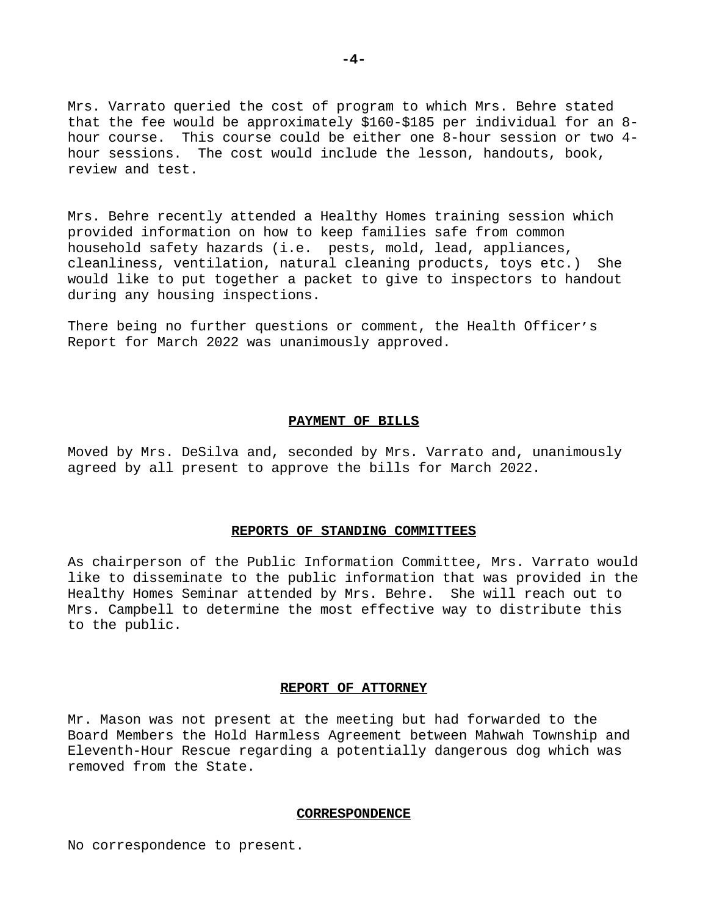Mrs. Varrato queried the cost of program to which Mrs. Behre stated that the fee would be approximately \$160-\$185 per individual for an 8 hour course. This course could be either one 8-hour session or two 4 hour sessions. The cost would include the lesson, handouts, book, review and test.

Mrs. Behre recently attended a Healthy Homes training session which provided information on how to keep families safe from common household safety hazards (i.e. pests, mold, lead, appliances, cleanliness, ventilation, natural cleaning products, toys etc.) She would like to put together a packet to give to inspectors to handout during any housing inspections.

There being no further questions or comment, the Health Officer's Report for March 2022 was unanimously approved.

## **PAYMENT OF BILLS**

Moved by Mrs. DeSilva and, seconded by Mrs. Varrato and, unanimously agreed by all present to approve the bills for March 2022.

#### **REPORTS OF STANDING COMMITTEES**

As chairperson of the Public Information Committee, Mrs. Varrato would like to disseminate to the public information that was provided in the Healthy Homes Seminar attended by Mrs. Behre. She will reach out to Mrs. Campbell to determine the most effective way to distribute this to the public.

#### **REPORT OF ATTORNEY**

Mr. Mason was not present at the meeting but had forwarded to the Board Members the Hold Harmless Agreement between Mahwah Township and Eleventh-Hour Rescue regarding a potentially dangerous dog which was removed from the State.

## **CORRESPONDENCE**

No correspondence to present.